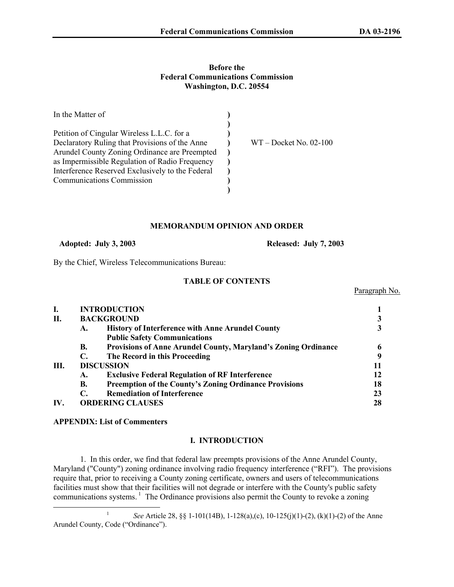Paragraph No.

## **Before the Federal Communications Commission Washington, D.C. 20554**

| $WT - Docket No. 02-100$ |
|--------------------------|
|                          |
|                          |
|                          |
|                          |
|                          |
|                          |

#### **MEMORANDUM OPINION AND ORDER**

 **Adopted: July 3, 2003 Released: July 7, 2003**

By the Chief, Wireless Telecommunications Bureau:

# **TABLE OF CONTENTS**

| I.  |                   | <b>INTRODUCTION</b>                                            |    |  |
|-----|-------------------|----------------------------------------------------------------|----|--|
| П.  |                   | <b>BACKGROUND</b>                                              |    |  |
|     | A.                | <b>History of Interference with Anne Arundel County</b>        |    |  |
|     |                   | <b>Public Safety Communications</b>                            |    |  |
|     | <b>B.</b>         | Provisions of Anne Arundel County, Maryland's Zoning Ordinance |    |  |
|     | С.                | The Record in this Proceeding                                  |    |  |
| Ш.  | <b>DISCUSSION</b> |                                                                |    |  |
|     | A.                | <b>Exclusive Federal Regulation of RF Interference</b>         |    |  |
|     | В.                | <b>Preemption of the County's Zoning Ordinance Provisions</b>  | 18 |  |
|     | С.                | <b>Remediation of Interference</b>                             | 23 |  |
| IV. |                   | <b>ORDERING CLAUSES</b>                                        | 28 |  |

## **APPENDIX: List of Commenters**

## **I. INTRODUCTION**

1. In this order, we find that federal law preempts provisions of the Anne Arundel County, Maryland ("County") zoning ordinance involving radio frequency interference ("RFI"). The provisions require that, prior to receiving a County zoning certificate, owners and users of telecommunications facilities must show that their facilities will not degrade or interfere with the County's public safety communications systems.<sup>1</sup> The Ordinance provisions also permit the County to revoke a zoning

 <sup>1</sup> *See* Article 28, §§ 1-101(14B), 1-128(a),(c), 10-125(j)(1)-(2), (k)(1)-(2) of the Anne Arundel County, Code ("Ordinance").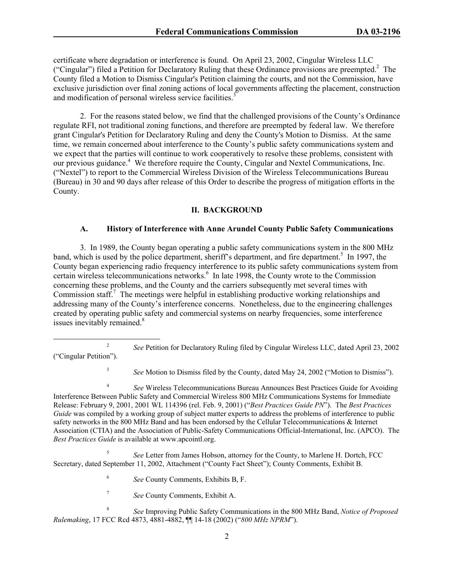certificate where degradation or interference is found. On April 23, 2002, Cingular Wireless LLC ("Cingular") filed a Petition for Declaratory Ruling that these Ordinance provisions are preempted.<sup>2</sup> The County filed a Motion to Dismiss Cingular's Petition claiming the courts, and not the Commission, have exclusive jurisdiction over final zoning actions of local governments affecting the placement, construction and modification of personal wireless service facilities.<sup>3</sup>

2. For the reasons stated below, we find that the challenged provisions of the County's Ordinance regulate RFI, not traditional zoning functions, and therefore are preempted by federal law. We therefore grant Cingular's Petition for Declaratory Ruling and deny the County's Motion to Dismiss. At the same time, we remain concerned about interference to the County's public safety communications system and we expect that the parties will continue to work cooperatively to resolve these problems, consistent with our previous guidance.<sup>4</sup> We therefore require the County, Cingular and Nextel Communications, Inc. ("Nextel") to report to the Commercial Wireless Division of the Wireless Telecommunications Bureau (Bureau) in 30 and 90 days after release of this Order to describe the progress of mitigation efforts in the County.

## **II. BACKGROUND**

## **A. History of Interference with Anne Arundel County Public Safety Communications**

 3. In 1989, the County began operating a public safety communications system in the 800 MHz band, which is used by the police department, sheriff's department, and fire department.<sup>5</sup> In 1997, the County began experiencing radio frequency interference to its public safety communications system from certain wireless telecommunications networks.<sup>6</sup> In late 1998, the County wrote to the Commission concerning these problems, and the County and the carriers subsequently met several times with Commission staff.<sup>7</sup> The meetings were helpful in establishing productive working relationships and addressing many of the County's interference concerns. Nonetheless, due to the engineering challenges created by operating public safety and commercial systems on nearby frequencies, some interference issues inevitably remained.<sup>8</sup>

<sup>4</sup> *See* Wireless Telecommunications Bureau Announces Best Practices Guide for Avoiding Interference Between Public Safety and Commercial Wireless 800 MHz Communications Systems for Immediate Release: February 9, 2001, 2001 WL 114396 (rel. Feb. 9, 2001) ("*Best Practices Guide PN*"). The *Best Practices Guide* was compiled by a working group of subject matter experts to address the problems of interference to public safety networks in the 800 MHz Band and has been endorsed by the Cellular Telecommunications & Internet Association (CTIA) and the Association of Public-Safety Communications Official-International, Inc. (APCO). The *Best Practices Guide* is available at www.apcointl.org.

5 *See* Letter from James Hobson, attorney for the County, to Marlene H. Dortch, FCC Secretary, dated September 11, 2002, Attachment ("County Fact Sheet"); County Comments, Exhibit B.

> 6 *See* County Comments, Exhibits B, F.

<sup>7</sup> *See* County Comments, Exhibit A.

<sup>&</sup>lt;sup>2</sup> *See Petition for Declaratory Ruling filed by Cingular Wireless LLC, dated April 23, 2002* ("Cingular Petition").

<sup>&</sup>lt;sup>3</sup> *See* Motion to Dismiss filed by the County, dated May 24, 2002 ("Motion to Dismiss").

<sup>8</sup> *See* Improving Public Safety Communications in the 800 MHz Band, *Notice of Proposed Rulemaking*, 17 FCC Rcd 4873, 4881-4882, ¶¶ 14-18 (2002) ("*800 MHz NPRM*").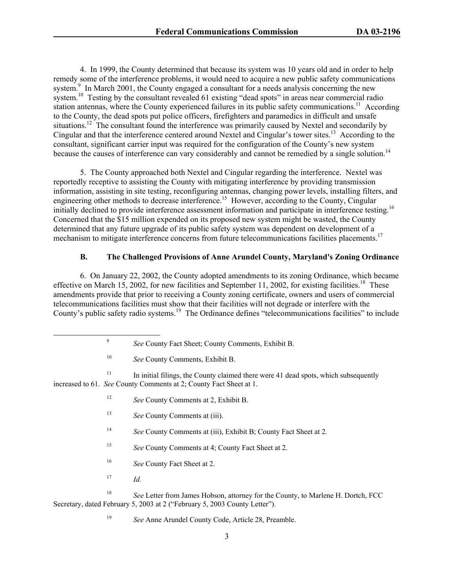4. In 1999, the County determined that because its system was 10 years old and in order to help remedy some of the interference problems, it would need to acquire a new public safety communications system.<sup>9</sup> In March 2001, the County engaged a consultant for a needs analysis concerning the new system.<sup>10</sup> Testing by the consultant revealed 61 existing "dead spots" in areas near commercial radio station antennas, where the County experienced failures in its public safety communications.<sup>11</sup> According to the County, the dead spots put police officers, firefighters and paramedics in difficult and unsafe situations.<sup>12</sup> The consultant found the interference was primarily caused by Nextel and secondarily by Cingular and that the interference centered around Nextel and Cingular's tower sites.13 According to the consultant, significant carrier input was required for the configuration of the County's new system because the causes of interference can vary considerably and cannot be remedied by a single solution.<sup>14</sup>

5. The County approached both Nextel and Cingular regarding the interference. Nextel was reportedly receptive to assisting the County with mitigating interference by providing transmission information, assisting in site testing, reconfiguring antennas, changing power levels, installing filters, and engineering other methods to decrease interference.<sup>15</sup> However, according to the County, Cingular initially declined to provide interference assessment information and participate in interference testing.16 Concerned that the \$15 million expended on its proposed new system might be wasted, the County determined that any future upgrade of its public safety system was dependent on development of a mechanism to mitigate interference concerns from future telecommunications facilities placements.<sup>17</sup>

## **B. The Challenged Provisions of Anne Arundel County, Maryland's Zoning Ordinance**

6. On January 22, 2002, the County adopted amendments to its zoning Ordinance, which became effective on March 15, 2002, for new facilities and September 11, 2002, for existing facilities.<sup>18</sup> These amendments provide that prior to receiving a County zoning certificate, owners and users of commercial telecommunications facilities must show that their facilities will not degrade or interfere with the County's public safety radio systems.<sup>19</sup> The Ordinance defines "telecommunications facilities" to include

 $11$  In initial filings, the County claimed there were 41 dead spots, which subsequently increased to 61. *See* County Comments at 2; County Fact Sheet at 1.

- <sup>12</sup> *See* County Comments at 2, Exhibit B.
- 13 *See* County Comments at (iii).
- 14 *See* County Comments at (iii), Exhibit B; County Fact Sheet at 2*.*
- 15 *See* County Comments at 4; County Fact Sheet at 2.
- 16 *See* County Fact Sheet at 2.
- 17 *Id.*

<sup>18</sup> *See* Letter from James Hobson, attorney for the County, to Marlene H. Dortch, FCC Secretary, dated February 5, 2003 at 2 ("February 5, 2003 County Letter").

<sup>19</sup> *See* Anne Arundel County Code, Article 28, Preamble.

 $\overline{\phantom{a}}$ *See* County Fact Sheet; County Comments, Exhibit B.

<sup>&</sup>lt;sup>10</sup> *See* County Comments, Exhibit B.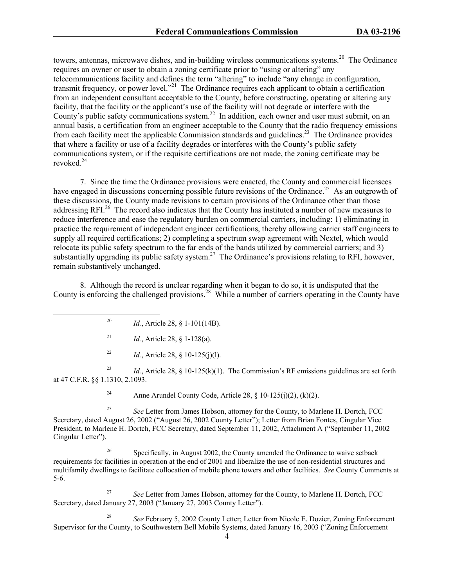towers, antennas, microwave dishes, and in-building wireless communications systems.<sup>20</sup> The Ordinance requires an owner or user to obtain a zoning certificate prior to "using or altering" any telecommunications facility and defines the term "altering" to include "any change in configuration, transmit frequency, or power level."<sup>21</sup> The Ordinance requires each applicant to obtain a certification from an independent consultant acceptable to the County, before constructing, operating or altering any facility, that the facility or the applicant's use of the facility will not degrade or interfere with the County's public safety communications system.<sup>22</sup> In addition, each owner and user must submit, on an annual basis, a certification from an engineer acceptable to the County that the radio frequency emissions from each facility meet the applicable Commission standards and guidelines.<sup>23</sup> The Ordinance provides that where a facility or use of a facility degrades or interferes with the County's public safety communications system, or if the requisite certifications are not made, the zoning certificate may be revoked.24

7. Since the time the Ordinance provisions were enacted, the County and commercial licensees have engaged in discussions concerning possible future revisions of the Ordinance.<sup>25</sup> As an outgrowth of these discussions, the County made revisions to certain provisions of the Ordinance other than those addressing RFI.<sup>26</sup> The record also indicates that the County has instituted a number of new measures to reduce interference and ease the regulatory burden on commercial carriers, including: 1) eliminating in practice the requirement of independent engineer certifications, thereby allowing carrier staff engineers to supply all required certifications; 2) completing a spectrum swap agreement with Nextel, which would relocate its public safety spectrum to the far ends of the bands utilized by commercial carriers; and 3) substantially upgrading its public safety system.<sup>27</sup> The Ordinance's provisions relating to RFI, however, remain substantively unchanged.

8. Although the record is unclear regarding when it began to do so, it is undisputed that the County is enforcing the challenged provisions.28 While a number of carriers operating in the County have

- 20 *Id.*, Article 28, § 1-101(14B).
- <sup>21</sup> *Id.*, Article 28, § 1-128(a).
- <sup>22</sup> *Id.*, Article 28, § 10-125(j)(l).

<sup>23</sup> *Id.*, Article 28, § 10-125(k)(1). The Commission's RF emissions guidelines are set forth at 47 C.F.R. §§ 1.1310, 2.1093.

<sup>24</sup> Anne Arundel County Code, Article 28, § 10-125(j)(2), (k)(2).

25 *See* Letter from James Hobson, attorney for the County, to Marlene H. Dortch, FCC Secretary, dated August 26, 2002 ("August 26, 2002 County Letter"); Letter from Brian Fontes, Cingular Vice President, to Marlene H. Dortch, FCC Secretary, dated September 11, 2002, Attachment A ("September 11, 2002 Cingular Letter").

26 Specifically, in August 2002, the County amended the Ordinance to waive setback requirements for facilities in operation at the end of 2001 and liberalize the use of non-residential structures and multifamily dwellings to facilitate collocation of mobile phone towers and other facilities. *See* County Comments at 5-6.

<sup>27</sup> *See* Letter from James Hobson, attorney for the County, to Marlene H. Dortch, FCC Secretary, dated January 27, 2003 ("January 27, 2003 County Letter").

<sup>28</sup> *See* February 5, 2002 County Letter; Letter from Nicole E. Dozier, Zoning Enforcement Supervisor for the County, to Southwestern Bell Mobile Systems, dated January 16, 2003 ("Zoning Enforcement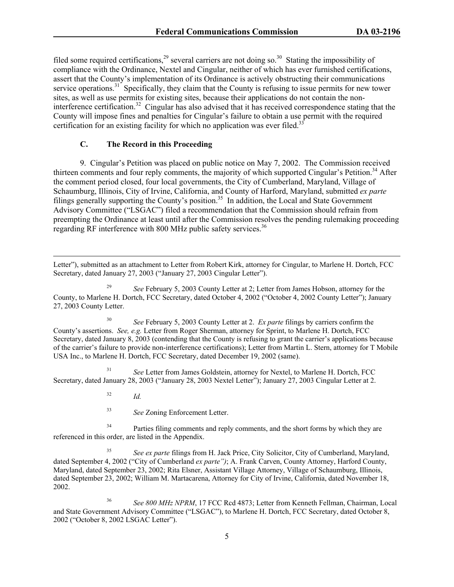filed some required certifications,<sup>29</sup> several carriers are not doing so.<sup>30</sup> Stating the impossibility of compliance with the Ordinance, Nextel and Cingular, neither of which has ever furnished certifications, assert that the County's implementation of its Ordinance is actively obstructing their communications service operations.<sup>31</sup> Specifically, they claim that the County is refusing to issue permits for new tower sites, as well as use permits for existing sites, because their applications do not contain the noninterference certification.32 Cingular has also advised that it has received correspondence stating that the County will impose fines and penalties for Cingular's failure to obtain a use permit with the required certification for an existing facility for which no application was ever filed.<sup>3</sup>

# **C. The Record in this Proceeding**

9. Cingular's Petition was placed on public notice on May 7, 2002. The Commission received thirteen comments and four reply comments, the majority of which supported Cingular's Petition.<sup>34</sup> After the comment period closed, four local governments, the City of Cumberland, Maryland, Village of Schaumburg, Illinois, City of Irvine, California, and County of Harford, Maryland, submitted *ex parte* filings generally supporting the County's position.<sup>35</sup> In addition, the Local and State Government Advisory Committee ("LSGAC") filed a recommendation that the Commission should refrain from preempting the Ordinance at least until after the Commission resolves the pending rulemaking proceeding regarding RF interference with 800 MHz public safety services.<sup>36</sup>

 Letter"), submitted as an attachment to Letter from Robert Kirk, attorney for Cingular, to Marlene H. Dortch, FCC Secretary, dated January 27, 2003 ("January 27, 2003 Cingular Letter").

<sup>29</sup> *See* February 5, 2003 County Letter at 2; Letter from James Hobson, attorney for the County, to Marlene H. Dortch, FCC Secretary, dated October 4, 2002 ("October 4, 2002 County Letter"); January 27, 2003 County Letter.

<sup>30</sup> *See* February 5, 2003 County Letter at 2. *Ex parte* filings by carriers confirm the County's assertions. *See, e.g.* Letter from Roger Sherman, attorney for Sprint, to Marlene H. Dortch, FCC Secretary, dated January 8, 2003 (contending that the County is refusing to grant the carrier's applications because of the carrier's failure to provide non-interference certifications); Letter from Martin L. Stern, attorney for T Mobile USA Inc., to Marlene H. Dortch, FCC Secretary, dated December 19, 2002 (same).

<sup>31</sup> *See* Letter from James Goldstein, attorney for Nextel, to Marlene H. Dortch, FCC Secretary, dated January 28, 2003 ("January 28, 2003 Nextel Letter"); January 27, 2003 Cingular Letter at 2.

<sup>32</sup> *Id.*

<sup>33</sup> *See* Zoning Enforcement Letter.

<sup>34</sup> Parties filing comments and reply comments, and the short forms by which they are referenced in this order, are listed in the Appendix.

<sup>35</sup> *See ex parte* filings from H. Jack Price, City Solicitor, City of Cumberland, Maryland, dated September 4, 2002 ("City of Cumberland *ex parte")*; A. Frank Carven, County Attorney, Harford County, Maryland, dated September 23, 2002; Rita Elsner, Assistant Village Attorney, Village of Schaumburg, Illinois, dated September 23, 2002; William M. Martacarena, Attorney for City of Irvine, California, dated November 18, 2002.

<sup>36</sup> *See 800 MHz NPRM*, 17 FCC Rcd 4873; Letter from Kenneth Fellman, Chairman, Local and State Government Advisory Committee ("LSGAC"), to Marlene H. Dortch, FCC Secretary, dated October 8, 2002 ("October 8, 2002 LSGAC Letter").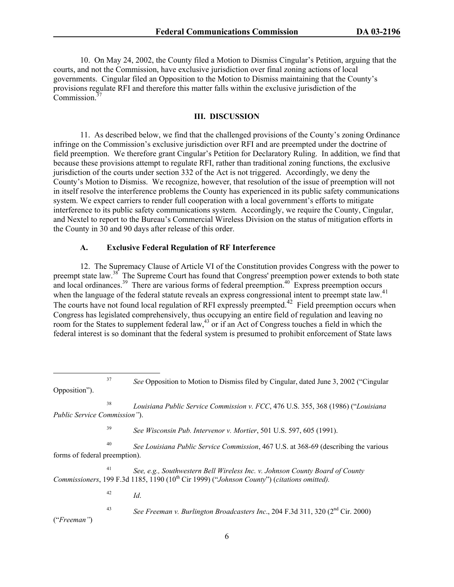10. On May 24, 2002, the County filed a Motion to Dismiss Cingular's Petition, arguing that the courts, and not the Commission, have exclusive jurisdiction over final zoning actions of local governments. Cingular filed an Opposition to the Motion to Dismiss maintaining that the County's provisions regulate RFI and therefore this matter falls within the exclusive jurisdiction of the Commission.<sup>37</sup>

#### **III. DISCUSSION**

 11. As described below, we find that the challenged provisions of the County's zoning Ordinance infringe on the Commission's exclusive jurisdiction over RFI and are preempted under the doctrine of field preemption. We therefore grant Cingular's Petition for Declaratory Ruling. In addition, we find that because these provisions attempt to regulate RFI, rather than traditional zoning functions, the exclusive jurisdiction of the courts under section 332 of the Act is not triggered. Accordingly, we deny the County's Motion to Dismiss. We recognize, however, that resolution of the issue of preemption will not in itself resolve the interference problems the County has experienced in its public safety communications system. We expect carriers to render full cooperation with a local government's efforts to mitigate interference to its public safety communications system. Accordingly, we require the County, Cingular, and Nextel to report to the Bureau's Commercial Wireless Division on the status of mitigation efforts in the County in 30 and 90 days after release of this order.

#### **A. Exclusive Federal Regulation of RF Interference**

12. The Supremacy Clause of Article VI of the Constitution provides Congress with the power to preempt state law.<sup>38</sup> The Supreme Court has found that Congress' preemption power extends to both state preempt state raw. The supreme court may come may conserve the conserved of the server and local ordinances.<sup>39</sup> There are various forms of federal preemption.<sup>40</sup> Express preemption occurs when the language of the federal statute reveals an express congressional intent to preempt state law. The courts have not found local regulation of RFI expressly preempted.<sup>42</sup> Field preemption occurs when Congress has legislated comprehensively, thus occupying an entire field of regulation and leaving no room for the States to supplement federal law,<sup>43</sup> or if an Act of Congress touches a field in which the federal interest is so dominant that the federal system is presumed to prohibit enforcement of State laws

38 *Louisiana Public Service Commission v. FCC*, 476 U.S. 355, 368 (1986) ("*Louisiana Public Service Commission"*).

<sup>39</sup> *See Wisconsin Pub. Intervenor v. Mortier*, 501 U.S. 597, 605 (1991).

<sup>40</sup> *See Louisiana Public Service Commission*, 467 U.S. at 368-69 (describing the various forms of federal preemption).

<sup>41</sup> *See, e.g., Southwestern Bell Wireless Inc. v. Johnson County Board of County Commissioners*, 199 F.3d 1185, 1190 (10<sup>th</sup> Cir 1999) ("*Johnson County*") (*citations omitted*).

 $^{42}$  *Id.* 

43 *See Freeman v. Burlington Broadcasters Inc*., 204 F.3d 311, 320 (2nd Cir. 2000)

("*Freeman"*)

 <sup>37</sup> *See* Opposition to Motion to Dismiss filed by Cingular, dated June 3, 2002 ("Cingular Opposition").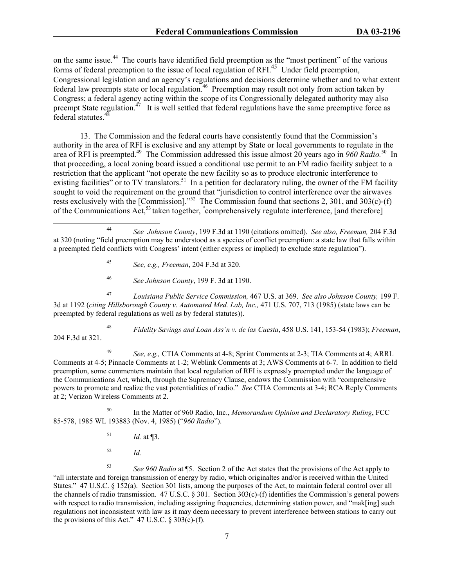on the same issue.<sup>44</sup> The courts have identified field preemption as the "most pertinent" of the various forms of federal preemption to the issue of local regulation of RFI.<sup>45</sup> Under field preemption, Congressional legislation and an agency's regulations and decisions determine whether and to what extent federal law preempts state or local regulation.<sup>46</sup> Preemption may result not only from action taken by Congress; a federal agency acting within the scope of its Congressionally delegated authority may also preempt State regulation.<sup> $47$ </sup> It is well settled that federal regulations have the same preemptive force as federal statutes.<sup>48</sup>

13. The Commission and the federal courts have consistently found that the Commission's authority in the area of RFI is exclusive and any attempt by State or local governments to regulate in the area of RFI is preempted.49 The Commission addressed this issue almost 20 years ago in *960 Radio.*<sup>50</sup>In that proceeding, a local zoning board issued a conditional use permit to an FM radio facility subject to a restriction that the applicant "not operate the new facility so as to produce electronic interference to existing facilities" or to TV translators.<sup>51</sup> In a petition for declaratory ruling, the owner of the FM facility sought to void the requirement on the ground that "jurisdiction to control interference over the airwaves rests exclusively with the [Commission]."<sup>52</sup> The Commission found that sections 2, 301, and 303(c)-(f) of the Communications Act,<sup>53</sup> taken together, "comprehensively regulate interference, [and therefore]

- <sup>45</sup> *See, e.g., Freeman*, 204 F.3d at 320.
- <sup>46</sup> *See Johnson County*, 199 F. 3d at 1190.

<sup>47</sup> *Louisiana Public Service Commission,* 467 U.S. at 369. *See also Johnson County,* 199 F. 3d at 1192 (*citing Hillsborough County v. Automated Med. Lab, Inc.,* 471 U.S. 707, 713 (1985) (state laws can be preempted by federal regulations as well as by federal statutes)).

<sup>48</sup> *Fidelity Savings and Loan Ass'n v. de las Cuesta*, 458 U.S. 141, 153-54 (1983); *Freeman*, 204 F.3d at 321.

49 *See, e.g.,* CTIA Comments at 4-8; Sprint Comments at 2-3; TIA Comments at 4; ARRL Comments at 4-5; Pinnacle Comments at 1-2; Weblink Comments at 3; AWS Comments at 6-7. In addition to field preemption, some commenters maintain that local regulation of RFI is expressly preempted under the language of the Communications Act, which, through the Supremacy Clause, endows the Commission with "comprehensive powers to promote and realize the vast potentialities of radio." *See* CTIA Comments at 3-4; RCA Reply Comments at 2; Verizon Wireless Comments at 2.

50 In the Matter of 960 Radio, Inc., *Memorandum Opinion and Declaratory Ruling*, FCC 85-578, 1985 WL 193883 (Nov. 4, 1985) ("*960 Radio*").

*Id.* at ¶3.

52 *Id.* 

<sup>53</sup> *See 960 Radio* at ¶5. Section 2 of the Act states that the provisions of the Act apply to "all interstate and foreign transmission of energy by radio, which originaltes and/or is received within the United States." 47 U.S.C. § 152(a). Section 301 lists, among the purposes of the Act, to maintain federal control over all the channels of radio transmission. 47 U.S.C. § 301. Section 303(c)-(f) identifies the Commission's general powers with respect to radio transmission, including assigning frequencies, determining station power, and "mak[ing] such regulations not inconsistent with law as it may deem necessary to prevent interference between stations to carry out the provisions of this Act."  $47 \text{ U.S.C. }$  § 303(c)-(f).

 <sup>44</sup> *See Johnson County*, 199 F.3d at 1190 (citations omitted). *See also, Freeman,* 204 F.3d at 320 (noting "field preemption may be understood as a species of conflict preemption: a state law that falls within a preempted field conflicts with Congress' intent (either express or implied) to exclude state regulation").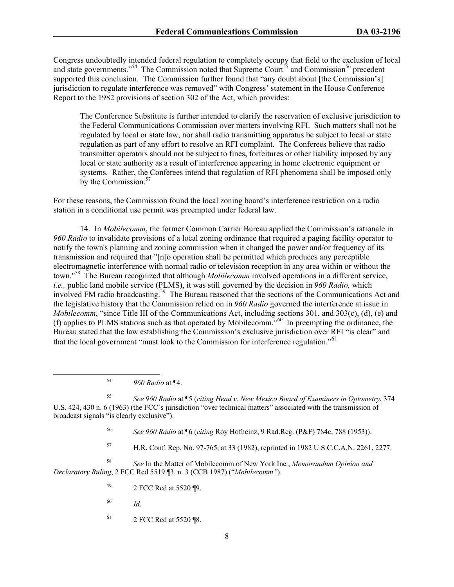Congress undoubtedly intended federal regulation to completely occupy that field to the exclusion of local and state governments."<sup>54</sup> The Commission noted that Supreme Court<sup>55</sup> and Commission<sup>56</sup> precedent supported this conclusion. The Commission further found that "any doubt about [the Commission's] jurisdiction to regulate interference was removed" with Congress' statement in the House Conference Report to the 1982 provisions of section 302 of the Act, which provides:

The Conference Substitute is further intended to clarify the reservation of exclusive jurisdiction to the Federal Communications Commission over matters involving RFI. Such matters shall not be regulated by local or state law, nor shall radio transmitting apparatus be subject to local or state regulation as part of any effort to resolve an RFI complaint. The Conferees believe that radio transmitter operators should not be subject to fines, forfeitures or other liability imposed by any local or state authority as a result of interference appearing in home electronic equipment or systems. Rather, the Conferees intend that regulation of RFI phenomena shall be imposed only by the Commission.<sup>57</sup>

For these reasons, the Commission found the local zoning board's interference restriction on a radio station in a conditional use permit was preempted under federal law.

14. In *Mobilecomm*, the former Common Carrier Bureau applied the Commission's rationale in *960 Radio* to invalidate provisions of a local zoning ordinance that required a paging facility operator to notify the town's planning and zoning commission when it changed the power and/or frequency of its transmission and required that "[n]o operation shall be permitted which produces any perceptible electromagnetic interference with normal radio or television reception in any area within or without the town."58 The Bureau recognized that although *Mobilecomm* involved operations in a different service, *i.e.,* public land mobile service (PLMS), it was still governed by the decision in *960 Radio,* which involved FM radio broadcasting.<sup>59</sup> The Bureau reasoned that the sections of the Communications Act and the legislative history that the Commission relied on in *960 Radio* governed the interference at issue in *Mobilecomm*, "since Title III of the Communications Act, including sections 301, and 303(c), (d), (e) and (f) applies to PLMS stations such as that operated by Mobilecomm."60 In preempting the ordinance, the Bureau stated that the law establishing the Commission's exclusive jurisdiction over RFI "is clear" and that the local government "must look to the Commission for interference regulation."<sup>61</sup>

<sup>55</sup> *See 960 Radio* at ¶5 (*citing Head v. New Mexico Board of Examiners in Optometry*, 374 U.S. 424, 430 n. 6 (1963) (the FCC's jurisdiction "over technical matters" associated with the transmission of broadcast signals "is clearly exclusive").

<sup>56</sup> *See 960 Radio* at ¶6 (*citing* Roy Hofheinz, 9 Rad.Reg. (P&F) 784c, 788 (1953)).

57 H.R. Conf. Rep. No. 97-765, at 33 (1982), reprinted in 1982 U.S.C.C.A.N. 2261, 2277.

<sup>58</sup> *See* In the Matter of Mobilecomm of New York Inc*.*, *Memorandum Opinion and Declaratory Ruling*, 2 FCC Rcd 5519 ¶3, n. 3 (CCB 1987) ("*Mobilecomm"*).

- 59 2 FCC Rcd at 5520 ¶9.
- <sup>60</sup> *Id*.
- 61 2 FCC Rcd at 5520 ¶8.

 <sup>54</sup> *960 Radio* at ¶4.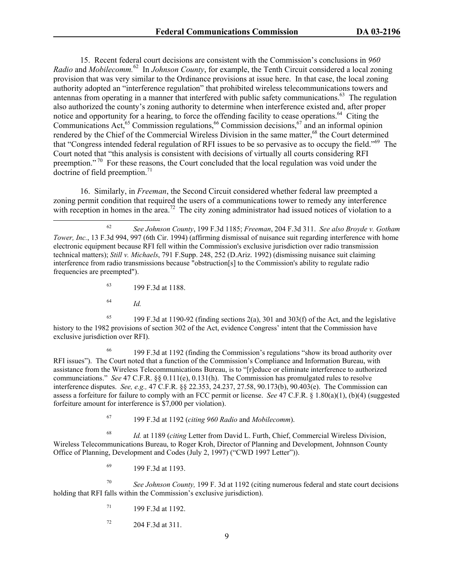15. Recent federal court decisions are consistent with the Commission's conclusions in *960 Radio* and *Mobilecomm.*62 In *Johnson County*, for example, the Tenth Circuit considered a local zoning provision that was very similar to the Ordinance provisions at issue here. In that case, the local zoning authority adopted an "interference regulation" that prohibited wireless telecommunications towers and antennas from operating in a manner that interfered with public safety communications.<sup>63</sup> The regulation also authorized the county's zoning authority to determine when interference existed and, after proper notice and opportunity for a hearing, to force the offending facility to cease operations.<sup>64</sup> Citing the Communications Act,<sup>65</sup> Commission regulations,<sup>66</sup> Commission decisions,<sup>67</sup> and an informal opinion rendered by the Chief of the Commercial Wireless Division in the same matter,<sup>68</sup> the Court determined that "Congress intended federal regulation of RFI issues to be so pervasive as to occupy the field."69 The Court noted that "this analysis is consistent with decisions of virtually all courts considering RFI preemption."<sup>70</sup> For these reasons, the Court concluded that the local regulation was void under the doctrine of field preemption. $71$ 

16. Similarly, in *Freeman*, the Second Circuit considered whether federal law preempted a zoning permit condition that required the users of a communications tower to remedy any interference with reception in homes in the area.<sup>72</sup> The city zoning administrator had issued notices of violation to a

- 63 199 F.3d at 1188.
- <sup>64</sup> *Id.*

<sup>65</sup> 199 F.3d at 1190-92 (finding sections 2(a), 301 and 303(f) of the Act, and the legislative history to the 1982 provisions of section 302 of the Act, evidence Congress' intent that the Commission have exclusive jurisdiction over RFI).

66 199 F.3d at 1192 (finding the Commission's regulations "show its broad authority over RFI issues"). The Court noted that a function of the Commission's Compliance and Information Bureau, with assistance from the Wireless Telecommunications Bureau, is to "[r]educe or eliminate interference to authorized communciations." *See* 47 C.F.R. §§ 0.111(e), 0.131(h). The Commission has promulgated rules to resolve interference disputes. *See, e.g.,* 47 C.F.R. §§ 22.353, 24.237, 27.58, 90.173(b), 90.403(e). The Commission can assess a forfeiture for failure to comply with an FCC permit or license. *See* 47 C.F.R. § 1.80(a)(1), (b)(4) (suggested forfeiture amount for interference is \$7,000 per violation).

67 199 F.3d at 1192 (*citing 960 Radio* and *Mobilecomm*).

<sup>68</sup> *Id.* at 1189 (*citing* Letter from David L. Furth, Chief, Commercial Wireless Division, Wireless Telecommunications Bureau, to Roger Kroh, Director of Planning and Development, Johnnson County Office of Planning, Development and Codes (July 2, 1997) ("CWD 1997 Letter")).

69 199 F.3d at 1193.

<sup>70</sup> *See Johnson County,* 199 F. 3d at 1192 (citing numerous federal and state court decisions holding that RFI falls within the Commission's exclusive jurisdiction).

 $^{71}$  199 F.3d at 1192.

 $72$  204 F.3d at 311.

 <sup>62</sup> *See Johnson County*, 199 F.3d 1185; *Freeman*, 204 F.3d 311. *See also Broyde v. Gotham Tower, Inc.*, 13 F.3d 994, 997 (6th Cir. 1994) (affirming dismissal of nuisance suit regarding interference with home electronic equipment because RFI fell within the Commission's exclusive jurisdiction over radio transmission technical matters); *Still v. Michaels*, 791 F.Supp. 248, 252 (D.Ariz. 1992) (dismissing nuisance suit claiming interference from radio transmissions because "obstruction[s] to the Commission's ability to regulate radio frequencies are preempted").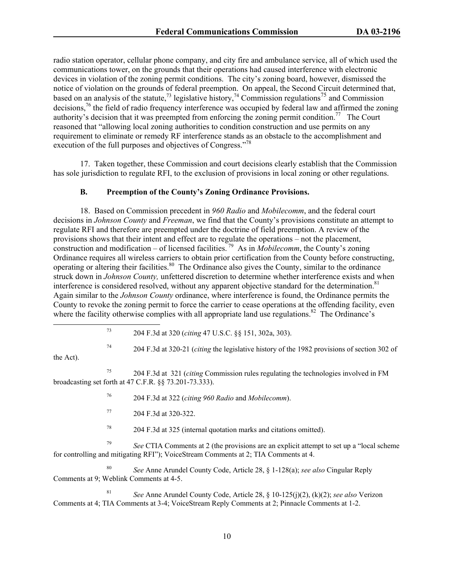radio station operator, cellular phone company, and city fire and ambulance service, all of which used the communications tower, on the grounds that their operations had caused interference with electronic devices in violation of the zoning permit conditions. The city's zoning board, however, dismissed the notice of violation on the grounds of federal preemption. On appeal, the Second Circuit determined that, based on an analysis of the statute,<sup>73</sup> legislative history,<sup>74</sup> Commission regulations<sup>75</sup> and Commission decisions,76 the field of radio frequency interference was occupied by federal law and affirmed the zoning authority's decision that it was preempted from enforcing the zoning permit condition.<sup>77</sup> The Court reasoned that "allowing local zoning authorities to condition construction and use permits on any requirement to eliminate or remedy RF interference stands as an obstacle to the accomplishment and execution of the full purposes and objectives of Congress."<sup>78</sup>

17. Taken together, these Commission and court decisions clearly establish that the Commission has sole jurisdiction to regulate RFI, to the exclusion of provisions in local zoning or other regulations.

## **B. Preemption of the County's Zoning Ordinance Provisions.**

18. Based on Commission precedent in *960 Radio* and *Mobilecomm*, and the federal court decisions in *Johnson County* and *Freeman*, we find that the County's provisions constitute an attempt to regulate RFI and therefore are preempted under the doctrine of field preemption. A review of the provisions shows that their intent and effect are to regulate the operations – not the placement, construction and modification – of licensed facilities.<sup>79</sup> As in *Mobilecomm*, the County's zoning Ordinance requires all wireless carriers to obtain prior certification from the County before constructing, operating or altering their facilities.80 The Ordinance also gives the County, similar to the ordinance struck down in *Johnson County,* unfettered discretion to determine whether interference exists and when interference is considered resolved, without any apparent objective standard for the determination.<sup>81</sup> Again similar to the *Johnson County* ordinance, where interference is found, the Ordinance permits the County to revoke the zoning permit to force the carrier to cease operations at the offending facility, even where the facility otherwise complies with all appropriate land use regulations.<sup>82</sup> The Ordinance's

73 204 F.3d at 320 (*citing* 47 U.S.C. §§ 151, 302a, 303).

74 204 F.3d at 320-21 (*citing* the legislative history of the 1982 provisions of section 302 of

the Act).

- 76 204 F.3d at 322 (*citing 960 Radio* and *Mobilecomm*).
- 77 204 F.3d at 320-322.
- $78$  204 F.3d at 325 (internal quotation marks and citations omitted).

<sup>79</sup> *See* CTIA Comments at 2 (the provisions are an explicit attempt to set up a "local scheme for controlling and mitigating RFI"); VoiceStream Comments at 2; TIA Comments at 4.

<sup>80</sup> *See* Anne Arundel County Code, Article 28, § 1-128(a); *see also* Cingular Reply Comments at 9; Weblink Comments at 4-5.

81 *See* Anne Arundel County Code, Article 28, § 10-125(j)(2), (k)(2); *see also* Verizon Comments at 4; TIA Comments at 3-4; VoiceStream Reply Comments at 2; Pinnacle Comments at 1-2.

<sup>75 204</sup> F.3d at 321 (*citing* Commission rules regulating the technologies involved in FM broadcasting set forth at 47 C.F.R. §§ 73.201-73.333).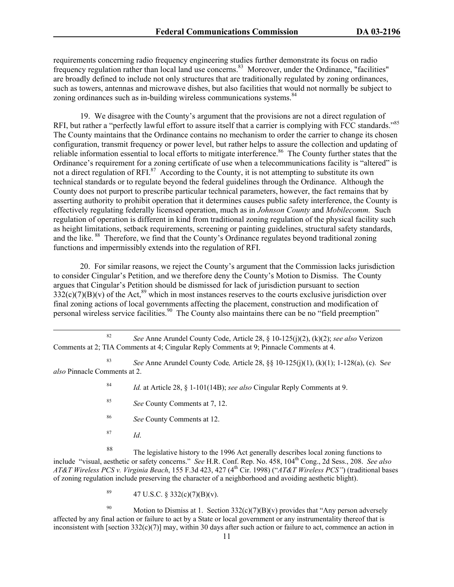requirements concerning radio frequency engineering studies further demonstrate its focus on radio frequency regulation rather than local land use concerns.<sup>83</sup> Moreover, under the Ordinance, "facilities" are broadly defined to include not only structures that are traditionally regulated by zoning ordinances, such as towers, antennas and microwave dishes, but also facilities that would not normally be subject to zoning ordinances such as in-building wireless communications systems.<sup>84</sup>

19. We disagree with the County's argument that the provisions are not a direct regulation of RFI, but rather a "perfectly lawful effort to assure itself that a carrier is complying with FCC standards."<sup>85</sup> The County maintains that the Ordinance contains no mechanism to order the carrier to change its chosen configuration, transmit frequency or power level, but rather helps to assure the collection and updating of reliable information essential to local efforts to mitigate interference.<sup>86</sup> The County further states that the Ordinance's requirement for a zoning certificate of use when a telecommunications facility is "altered" is not a direct regulation of RFI.<sup>87</sup> According to the County, it is not attempting to substitute its own technical standards or to regulate beyond the federal guidelines through the Ordinance. Although the County does not purport to prescribe particular technical parameters, however, the fact remains that by asserting authority to prohibit operation that it determines causes public safety interference, the County is effectively regulating federally licensed operation, much as in *Johnson County* and *Mobilecomm.* Such regulation of operation is different in kind from traditional zoning regulation of the physical facility such as height limitations, setback requirements, screening or painting guidelines, structural safety standards, and the like. 88 Therefore, we find that the County's Ordinance regulates beyond traditional zoning functions and impermissibly extends into the regulation of RFI.

20. For similar reasons, we reject the County's argument that the Commission lacks jurisdiction to consider Cingular's Petition, and we therefore deny the County's Motion to Dismiss. The County argues that Cingular's Petition should be dismissed for lack of jurisdiction pursuant to section  $332(c)(7)(B)(v)$  of the Act,<sup>89</sup> which in most instances reserves to the courts exclusive jurisdiction over final zoning actions of local governments affecting the placement, construction and modification of personal wireless service facilities.<sup>90</sup> The County also maintains there can be no "field preemption"

 82 *See* Anne Arundel County Code, Article 28, § 10-125(j)(2), (k)(2); *see also* Verizon Comments at 2; TIA Comments at 4; Cingular Reply Comments at 9; Pinnacle Comments at 4.

<sup>83</sup> *See* Anne Arundel County Code*,* Article 28, §§ 10-125(j)(1), (k)(1); 1-128(a), (c). S*ee also* Pinnacle Comments at 2.

84 *Id.* at Article 28, § 1-101(14B); *see also* Cingular Reply Comments at 9.

- 85 *See* County Comments at 7, 12.
- 86 *See* County Comments at 12.
- <sup>87</sup> *Id*.

88 The legislative history to the 1996 Act generally describes local zoning functions to include "visual, aesthetic or safety concerns." *See* H.R. Conf. Rep. No. 458, 104th Cong., 2d Sess., 208. *See also AT&T Wireless PCS v. Virginia Beach*, 155 F.3d 423, 427 (4th Cir. 1998) ("*AT&T Wireless PCS"*) (traditional bases of zoning regulation include preserving the character of a neighborhood and avoiding aesthetic blight).

<sup>89</sup> 47 U.S.C. § 332(c)(7)(B)(v).

<sup>90</sup> Motion to Dismiss at 1. Section  $332(c)(7)(B)(v)$  provides that "Any person adversely affected by any final action or failure to act by a State or local government or any instrumentality thereof that is inconsistent with [section  $332(c)(7)$ ] may, within 30 days after such action or failure to act, commence an action in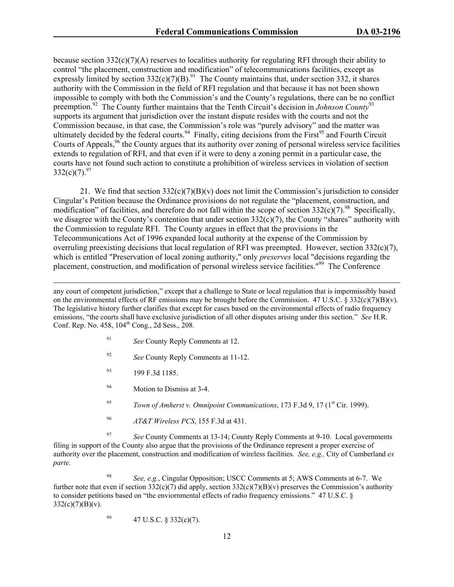because section  $332(c)(7)(A)$  reserves to localities authority for regulating RFI through their ability to control "the placement, construction and modification" of telecommunications facilities, except as expressly limited by section  $332(c)(7)(B)^{91}$ . The County maintains that, under section 332, it shares authority with the Commission in the field of RFI regulation and that because it has not been shown impossible to comply with both the Commission's and the County's regulations, there can be no conflict preemption.92 The County further maintains that the Tenth Circuit's decision in *Johnson County*<sup>93</sup> supports its argument that jurisdiction over the instant dispute resides with the courts and not the Commission because, in that case, the Commission's role was "purely advisory" and the matter was ultimately decided by the federal courts.<sup>94</sup> Finally, citing decisions from the First<sup>95</sup> and Fourth Circuit Courts of Appeals,<sup>96</sup> the County argues that its authority over zoning of personal wireless service facilities extends to regulation of RFI, and that even if it were to deny a zoning permit in a particular case, the courts have not found such action to constitute a prohibition of wireless services in violation of section  $332(c)(7)$ <sup>97</sup>

21. We find that section  $332(c)(7)(B)(v)$  does not limit the Commission's jurisdiction to consider Cingular's Petition because the Ordinance provisions do not regulate the "placement, construction, and modification" of facilities, and therefore do not fall within the scope of section  $332(c)(7)$ .<sup>98</sup> Specifically, we disagree with the County's contention that under section  $332(c)(7)$ , the County "shares" authority with the Commission to regulate RFI. The County argues in effect that the provisions in the Telecommunications Act of 1996 expanded local authority at the expense of the Commission by overruling preexisting decisions that local regulation of RFI was preempted. However, section  $332(c)(7)$ , which is entitled "Preservation of local zoning authority," only *preserves* local "decisions regarding the placement, construction, and modification of personal wireless service facilities."99 The Conference

 any court of competent jurisdiction," except that a challenge to State or local regulation that is impermissibly based on the environmental effects of RF emissions may be brought before the Commission. 47 U.S.C. § 332(c)(7)(B)(v). The legislative history further clarifies that except for cases based on the environmental effects of radio frequency emissions, "the courts shall have exclusive jurisdiction of all other disputes arising under this section." *See* H.R. Conf. Rep. No.  $458$ ,  $104^{\text{th}}$  Cong., 2d Sess., 208.

- <sup>91</sup> *See* County Reply Comments at 12.
- <sup>92</sup> *See* County Reply Comments at 11-12.
- $^{93}$  199 F.3d 1185.
- 94 Motion to Dismiss at 3-4.
- <sup>95</sup> *Town of Amherst v. Omnipoint Communications*, 173 F.3d 9, 17 (1st Cir. 1999).
- <sup>96</sup> *AT&T Wireless PCS*, 155 F.3d at 431.

<sup>97</sup> *See* County Comments at 13-14; County Reply Comments at 9-10. Local governments filing in support of the County also argue that the provisions of the Ordinance represent a proper exercise of authority over the placement, construction and modification of wireless facilities. *See, e.g.,* City of Cumberland *ex parte.*

<sup>98</sup> *See, e.g.*, Cingular Opposition; USCC Comments at 5; AWS Comments at 6-7. We further note that even if section 332(c)(7) did apply, section  $332(c)(7)(B)(v)$  preserves the Commission's authority to consider petitions based on "the enviornmental effects of radio frequency emissions." 47 U.S.C. §  $332(c)(7)(B)(v)$ .

99 47 U.S.C.  $\S 332(c)(7)$ .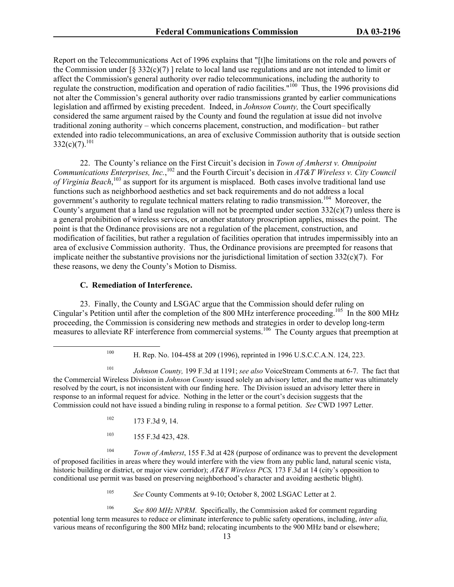Report on the Telecommunications Act of 1996 explains that "[t]he limitations on the role and powers of the Commission under  $\lceil \frac{6}{5} \cdot 332(c)(7) \rceil$  relate to local land use regulations and are not intended to limit or affect the Commission's general authority over radio telecommunications, including the authority to regulate the construction, modification and operation of radio facilities."<sup>100</sup> Thus, the 1996 provisions did not alter the Commission's general authority over radio transmissions granted by earlier communications legislation and affirmed by existing precedent. Indeed, in *Johnson County,* the Court specifically considered the same argument raised by the County and found the regulation at issue did not involve traditional zoning authority – which concerns placement, construction, and modification– but rather extended into radio telecommunications, an area of exclusive Commission authority that is outside section  $332(c)(7).^{101}$ 

22. The County's reliance on the First Circuit's decision in *Town of Amherst v. Omnipoint*  Communications Enterprises, Inc.,<sup>102</sup> and the Fourth Circuit's decision in *AT&T Wireless v. City Council of Virginia Beach*, 103 as support for its argument is misplaced. Both cases involve traditional land use functions such as neighborhood aesthetics and set back requirements and do not address a local government's authority to regulate technical matters relating to radio transmission.<sup>104</sup> Moreover, the County's argument that a land use regulation will not be preempted under section  $332(c)(7)$  unless there is a general prohibition of wireless services, or another statutory proscription applies, misses the point. The point is that the Ordinance provisions are not a regulation of the placement, construction, and modification of facilities, but rather a regulation of facilities operation that intrudes impermissibly into an area of exclusive Commission authority. Thus, the Ordinance provisions are preempted for reasons that implicate neither the substantive provisions nor the jurisdictional limitation of section 332(c)(7). For these reasons, we deny the County's Motion to Dismiss.

## **C. Remediation of Interference.**

23. Finally, the County and LSGAC argue that the Commission should defer ruling on Cingular's Petition until after the completion of the 800 MHz interference proceeding.105 In the 800 MHz proceeding, the Commission is considering new methods and strategies in order to develop long-term measures to alleviate RF interference from commercial systems.<sup>106</sup> The County argues that preemption at

- $102$  173 F.3d 9, 14.
- 103 155 F.3d 423, 428.

Town of Amherst, 155 F.3d at 428 (purpose of ordinance was to prevent the development of proposed facilities in areas where they would interfere with the view from any public land, natural scenic vista, historic building or district, or major view corridor); *AT&T Wireless PCS,* 173 F.3d at 14 (city's opposition to conditional use permit was based on preserving neighborhood's character and avoiding aesthetic blight).

<sup>105</sup> *See* County Comments at 9-10; October 8, 2002 LSGAC Letter at 2.

<sup>106</sup> *See 800 MHz NPRM*. Specifically, the Commission asked for comment regarding potential long term measures to reduce or eliminate interference to public safety operations, including, *inter alia,* various means of reconfiguring the 800 MHz band; relocating incumbents to the 900 MHz band or elsewhere;

 <sup>100</sup> H. Rep. No. 104-458 at 209 (1996), reprinted in 1996 U.S.C.C.A.N. 124, 223.

<sup>101</sup> *Johnson County,* 199 F.3d at 1191; *see also* VoiceStream Comments at 6-7. The fact that the Commercial Wireless Division in *Johnson County* issued solely an advisory letter, and the matter was ultimately resolved by the court, is not inconsistent with our finding here. The Division issued an advisory letter there in response to an informal request for advice. Nothing in the letter or the court's decision suggests that the Commission could not have issued a binding ruling in response to a formal petition. *See* CWD 1997 Letter.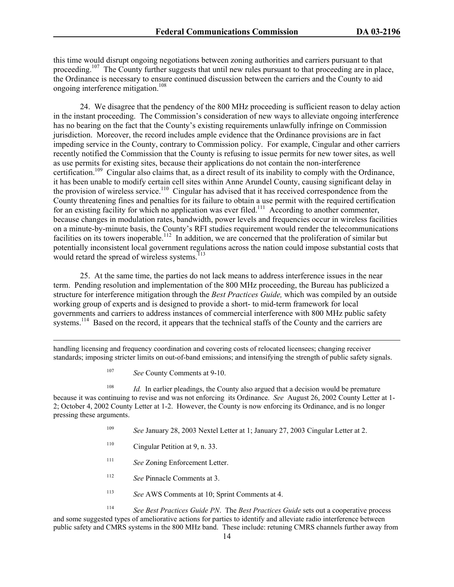this time would disrupt ongoing negotiations between zoning authorities and carriers pursuant to that proceeding.<sup>107</sup> The County further suggests that until new rules pursuant to that proceeding are in place, the Ordinance is necessary to ensure continued discussion between the carriers and the County to aid ongoing interference mitigation.<sup>108</sup>

24. We disagree that the pendency of the 800 MHz proceeding is sufficient reason to delay action in the instant proceeding. The Commission's consideration of new ways to alleviate ongoing interference has no bearing on the fact that the County's existing requirements unlawfully infringe on Commission jurisdiction. Moreover, the record includes ample evidence that the Ordinance provisions are in fact impeding service in the County, contrary to Commission policy. For example, Cingular and other carriers recently notified the Commission that the County is refusing to issue permits for new tower sites, as well as use permits for existing sites, because their applications do not contain the non-interference certification.109 Cingular also claims that, as a direct result of its inability to comply with the Ordinance, it has been unable to modify certain cell sites within Anne Arundel County, causing significant delay in the provision of wireless service.<sup>110</sup> Cingular has advised that it has received correspondence from the County threatening fines and penalties for its failure to obtain a use permit with the required certification for an existing facility for which no application was ever filed.<sup>111</sup> According to another commenter, because changes in modulation rates, bandwidth, power levels and frequencies occur in wireless facilities on a minute-by-minute basis, the County's RFI studies requirement would render the telecommunications facilities on its towers inoperable.<sup>112</sup> In addition, we are concerned that the proliferation of similar but potentially inconsistent local government regulations across the nation could impose substantial costs that would retard the spread of wireless systems.<sup>113</sup>

25. At the same time, the parties do not lack means to address interference issues in the near term. Pending resolution and implementation of the 800 MHz proceeding, the Bureau has publicized a structure for interference mitigation through the *Best Practices Guide,* which was compiled by an outside working group of experts and is designed to provide a short- to mid-term framework for local governments and carriers to address instances of commercial interference with 800 MHz public safety systems.<sup>114</sup> Based on the record, it appears that the technical staffs of the County and the carriers are

 handling licensing and frequency coordination and covering costs of relocated licensees; changing receiver standards; imposing stricter limits on out-of-band emissions; and intensifying the strength of public safety signals.

<sup>107</sup> *See* County Comments at 9-10.

<sup>108</sup> *Id.* In earlier pleadings, the County also argued that a decision would be premature because it was continuing to revise and was not enforcing its Ordinance. *See* August 26, 2002 County Letter at 1- 2; October 4, 2002 County Letter at 1-2. However, the County is now enforcing its Ordinance, and is no longer pressing these arguments.

- <sup>109</sup> *See* January 28, 2003 Nextel Letter at 1; January 27, 2003 Cingular Letter at 2.
- 110 Cingular Petition at 9, n. 33.
- <sup>111</sup> *See* Zoning Enforcement Letter.
- <sup>112</sup> *See* Pinnacle Comments at 3.
- <sup>113</sup> *See* AWS Comments at 10; Sprint Comments at 4.

114 *See Best Practices Guide PN*. The *Best Practices Guide* sets out a cooperative process and some suggested types of ameliorative actions for parties to identify and alleviate radio interference between public safety and CMRS systems in the 800 MHz band. These include: retuning CMRS channels further away from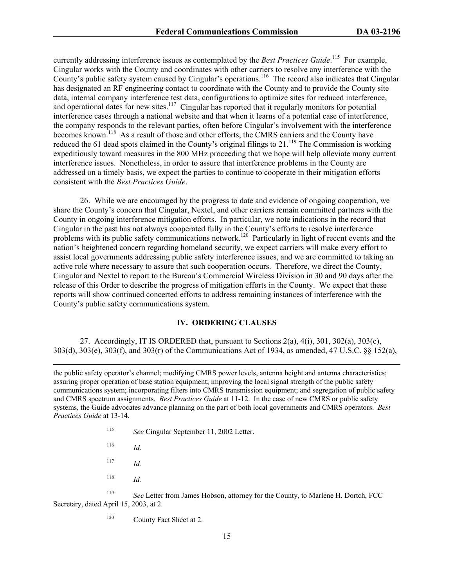currently addressing interference issues as contemplated by the *Best Practices Guide*. 115 For example, Cingular works with the County and coordinates with other carriers to resolve any interference with the County's public safety system caused by Cingular's operations.<sup>116</sup> The record also indicates that Cingular has designated an RF engineering contact to coordinate with the County and to provide the County site data, internal company interference test data, configurations to optimize sites for reduced interference, and operational dates for new sites.<sup>117</sup> Cingular has reported that it regularly monitors for potential interference cases through a national website and that when it learns of a potential case of interference, the company responds to the relevant parties, often before Cingular's involvement with the interference becomes known.<sup>118</sup> As a result of those and other efforts, the CMRS carriers and the County have reduced the 61 dead spots claimed in the County's original filings to 21.<sup>119</sup> The Commission is working expeditiously toward measures in the 800 MHz proceeding that we hope will help alleviate many current interference issues. Nonetheless, in order to assure that interference problems in the County are addressed on a timely basis, we expect the parties to continue to cooperate in their mitigation efforts consistent with the *Best Practices Guide*.

26. While we are encouraged by the progress to date and evidence of ongoing cooperation, we share the County's concern that Cingular, Nextel, and other carriers remain committed partners with the County in ongoing interference mitigation efforts. In particular, we note indications in the record that Cingular in the past has not always cooperated fully in the County's efforts to resolve interference problems with its public safety communications network.<sup>120</sup> Particularly in light of recent events and the nation's heightened concern regarding homeland security, we expect carriers will make every effort to assist local governments addressing public safety interference issues, and we are committed to taking an active role where necessary to assure that such cooperation occurs. Therefore, we direct the County, Cingular and Nextel to report to the Bureau's Commercial Wireless Division in 30 and 90 days after the release of this Order to describe the progress of mitigation efforts in the County. We expect that these reports will show continued concerted efforts to address remaining instances of interference with the County's public safety communications system.

### **IV. ORDERING CLAUSES**

 27. Accordingly, IT IS ORDERED that, pursuant to Sections 2(a), 4(i), 301, 302(a), 303(c), 303(d), 303(e), 303(f), and 303(r) of the Communications Act of 1934, as amended, 47 U.S.C. §§ 152(a),

 the public safety operator's channel; modifying CMRS power levels, antenna height and antenna characteristics; assuring proper operation of base station equipment; improving the local signal strength of the public safety communications system; incorporating filters into CMRS transmission equipment; and segregation of public safety and CMRS spectrum assignments. *Best Practices Guide* at 11-12. In the case of new CMRS or public safety systems, the Guide advocates advance planning on the part of both local governments and CMRS operators. *Best Practices Guide* at 13-14.

- <sup>115</sup> *See* Cingular September 11, 2002 Letter.
- <sup>116</sup> *Id*.
- $117$  *Id.*
- $118$  *Id.*

<sup>119</sup> *See* Letter from James Hobson, attorney for the County, to Marlene H. Dortch, FCC Secretary, dated April 15, 2003, at 2.

<sup>120</sup> County Fact Sheet at 2.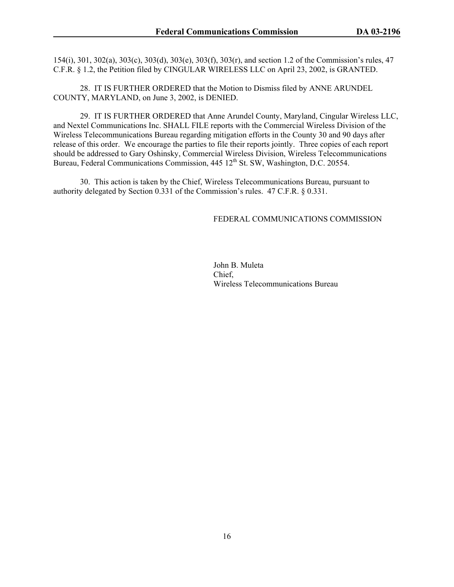154(i), 301, 302(a), 303(c), 303(d), 303(e), 303(f), 303(r), and section 1.2 of the Commission's rules, 47 C.F.R. § 1.2, the Petition filed by CINGULAR WIRELESS LLC on April 23, 2002, is GRANTED.

 28. IT IS FURTHER ORDERED that the Motion to Dismiss filed by ANNE ARUNDEL COUNTY, MARYLAND, on June 3, 2002, is DENIED.

 29. IT IS FURTHER ORDERED that Anne Arundel County, Maryland, Cingular Wireless LLC, and Nextel Communications Inc. SHALL FILE reports with the Commercial Wireless Division of the Wireless Telecommunications Bureau regarding mitigation efforts in the County 30 and 90 days after release of this order. We encourage the parties to file their reports jointly. Three copies of each report should be addressed to Gary Oshinsky, Commercial Wireless Division, Wireless Telecommunications Bureau, Federal Communications Commission, 445 12<sup>th</sup> St. SW, Washington, D.C. 20554.

 30. This action is taken by the Chief, Wireless Telecommunications Bureau, pursuant to authority delegated by Section 0.331 of the Commission's rules. 47 C.F.R. § 0.331.

## FEDERAL COMMUNICATIONS COMMISSION

 John B. Muleta Chief, Wireless Telecommunications Bureau